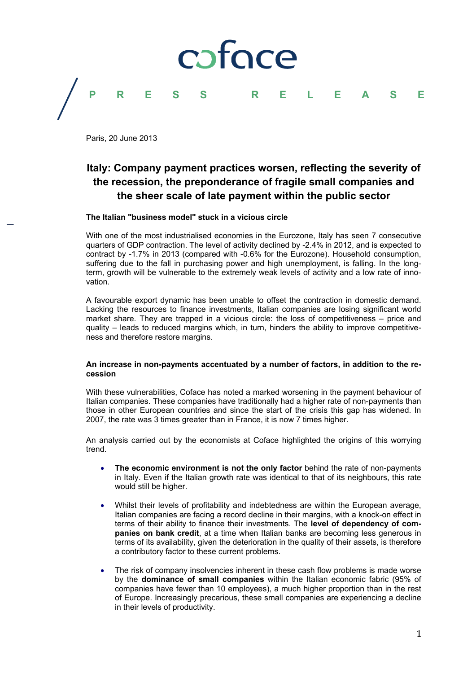

Paris, 20 June 2013

## **Italy: Company payment practices worsen, reflecting the severity of the recession, the preponderance of fragile small companies and the sheer scale of late payment within the public sector**

### **The Italian "business model" stuck in a vicious circle**

With one of the most industrialised economies in the Eurozone, Italy has seen 7 consecutive quarters of GDP contraction. The level of activity declined by -2.4% in 2012, and is expected to contract by -1.7% in 2013 (compared with -0.6% for the Eurozone). Household consumption, suffering due to the fall in purchasing power and high unemployment, is falling. In the longterm, growth will be vulnerable to the extremely weak levels of activity and a low rate of innovation.

A favourable export dynamic has been unable to offset the contraction in domestic demand. Lacking the resources to finance investments, Italian companies are losing significant world market share. They are trapped in a vicious circle: the loss of competitiveness – price and quality – leads to reduced margins which, in turn, hinders the ability to improve competitiveness and therefore restore margins.

### **An increase in non-payments accentuated by a number of factors, in addition to the recession**

With these vulnerabilities, Coface has noted a marked worsening in the payment behaviour of Italian companies. These companies have traditionally had a higher rate of non-payments than those in other European countries and since the start of the crisis this gap has widened. In 2007, the rate was 3 times greater than in France, it is now 7 times higher.

An analysis carried out by the economists at Coface highlighted the origins of this worrying trend.

- **The economic environment is not the only factor** behind the rate of non-payments in Italy. Even if the Italian growth rate was identical to that of its neighbours, this rate would still be higher.
- Whilst their levels of profitability and indebtedness are within the European average, Italian companies are facing a record decline in their margins, with a knock-on effect in terms of their ability to finance their investments. The **level of dependency of companies on bank credit**, at a time when Italian banks are becoming less generous in terms of its availability, given the deterioration in the quality of their assets, is therefore a contributory factor to these current problems.
- The risk of company insolvencies inherent in these cash flow problems is made worse by the **dominance of small companies** within the Italian economic fabric (95% of companies have fewer than 10 employees), a much higher proportion than in the rest of Europe. Increasingly precarious, these small companies are experiencing a decline in their levels of productivity.